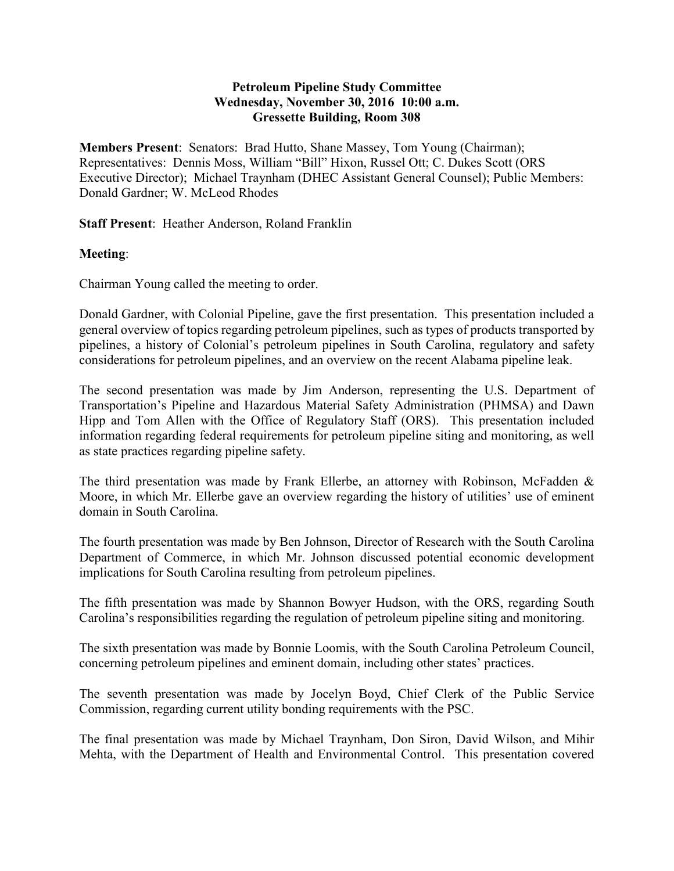## **Petroleum Pipeline Study Committee Wednesday, November 30, 2016 10:00 a.m. Gressette Building, Room 308**

**Members Present**: Senators: Brad Hutto, Shane Massey, Tom Young (Chairman); Representatives: Dennis Moss, William "Bill" Hixon, Russel Ott; C. Dukes Scott (ORS Executive Director); Michael Traynham (DHEC Assistant General Counsel); Public Members: Donald Gardner; W. McLeod Rhodes

**Staff Present**: Heather Anderson, Roland Franklin

## **Meeting**:

Chairman Young called the meeting to order.

Donald Gardner, with Colonial Pipeline, gave the first presentation. This presentation included a general overview of topics regarding petroleum pipelines, such as types of products transported by pipelines, a history of Colonial's petroleum pipelines in South Carolina, regulatory and safety considerations for petroleum pipelines, and an overview on the recent Alabama pipeline leak.

The second presentation was made by Jim Anderson, representing the U.S. Department of Transportation's Pipeline and Hazardous Material Safety Administration (PHMSA) and Dawn Hipp and Tom Allen with the Office of Regulatory Staff (ORS). This presentation included information regarding federal requirements for petroleum pipeline siting and monitoring, as well as state practices regarding pipeline safety.

The third presentation was made by Frank Ellerbe, an attorney with Robinson, McFadden & Moore, in which Mr. Ellerbe gave an overview regarding the history of utilities' use of eminent domain in South Carolina.

The fourth presentation was made by Ben Johnson, Director of Research with the South Carolina Department of Commerce, in which Mr. Johnson discussed potential economic development implications for South Carolina resulting from petroleum pipelines.

The fifth presentation was made by Shannon Bowyer Hudson, with the ORS, regarding South Carolina's responsibilities regarding the regulation of petroleum pipeline siting and monitoring.

The sixth presentation was made by Bonnie Loomis, with the South Carolina Petroleum Council, concerning petroleum pipelines and eminent domain, including other states' practices.

The seventh presentation was made by Jocelyn Boyd, Chief Clerk of the Public Service Commission, regarding current utility bonding requirements with the PSC.

The final presentation was made by Michael Traynham, Don Siron, David Wilson, and Mihir Mehta, with the Department of Health and Environmental Control. This presentation covered